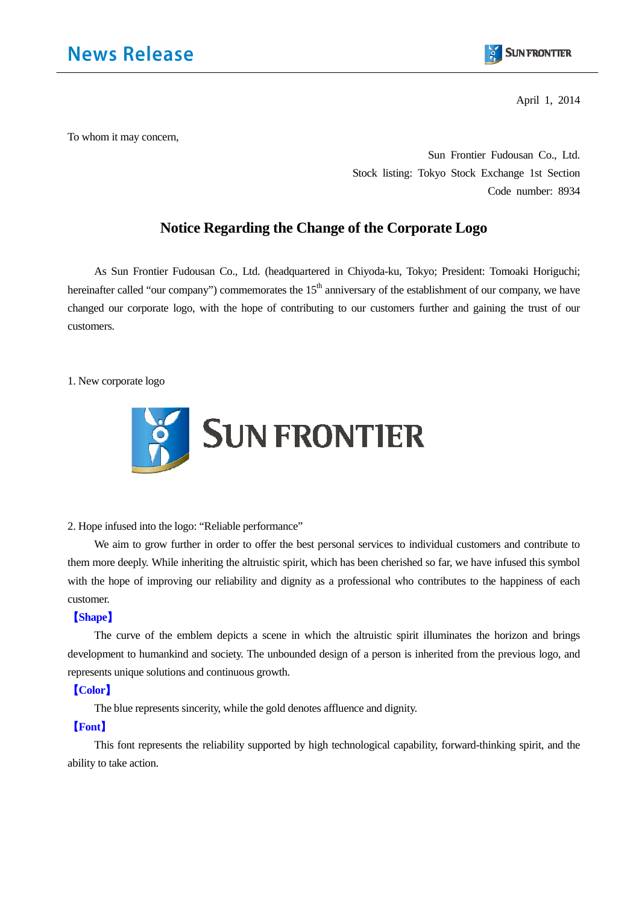

April 1, 2014

To whom it may concern,

Sun Frontier Fudousan Co., Ltd. Stock listing: Tokyo Stock Exchange 1st Section Code number: 8934

# **Notice Regarding the Change of the Corporate Logo**

As Sun Frontier Fudousan Co., Ltd. (headquartered in Chiyoda-ku, Tokyo; President: Tomoaki Horiguchi; hereinafter called "our company") commemorates the  $15<sup>th</sup>$  anniversary of the establishment of our company, we have changed our corporate logo, with the hope of contributing to our customers further and gaining the trust of our customers.

1. New corporate logo



2. Hope infused into the logo: "Reliable performance"

We aim to grow further in order to offer the best personal services to individual customers and contribute to them more deeply. While inheriting the altruistic spirit, which has been cherished so far, we have infused this symbol with the hope of improving our reliability and dignity as a professional who contributes to the happiness of each customer.

## 【**Shape**】

The curve of the emblem depicts a scene in which the altruistic spirit illuminates the horizon and brings development to humankind and society. The unbounded design of a person is inherited from the previous logo, and represents unique solutions and continuous growth.

## 【**Color**】

The blue represents sincerity, while the gold denotes affluence and dignity.

## 【**Font**】

This font represents the reliability supported by high technological capability, forward-thinking spirit, and the ability to take action.